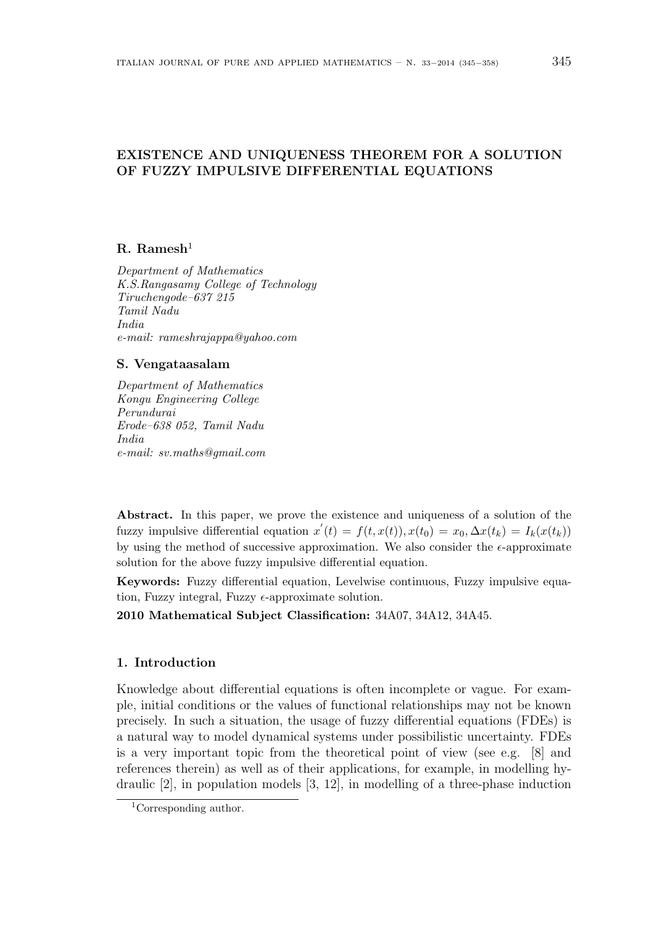# EXISTENCE AND UNIQUENESS THEOREM FOR A SOLUTION OF FUZZY IMPULSIVE DIFFERENTIAL EQUATIONS

# $R.$  Ramesh<sup>1</sup>

Department of Mathematics K.S.Rangasamy College of Technology Tiruchengode–637 215 Tamil Nadu India e-mail: rameshrajappa@yahoo.com

#### S. Vengataasalam

Department of Mathematics Kongu Engineering College Perundurai Erode–638 052, Tamil Nadu India e-mail: sv.maths@gmail.com

Abstract. In this paper, we prove the existence and uniqueness of a solution of the fuzzy impulsive differential equation  $x'(t) = f(t, x(t))$ ,  $x(t_0) = x_0$ ,  $\Delta x(t_k) = I_k(x(t_k))$ by using the method of successive approximation. We also consider the  $\epsilon$ -approximate solution for the above fuzzy impulsive differential equation.

Keywords: Fuzzy differential equation, Levelwise continuous, Fuzzy impulsive equation, Fuzzy integral, Fuzzy  $\epsilon$ -approximate solution.

2010 Mathematical Subject Classification: 34A07, 34A12, 34A45.

## 1. Introduction

Knowledge about differential equations is often incomplete or vague. For example, initial conditions or the values of functional relationships may not be known precisely. In such a situation, the usage of fuzzy differential equations (FDEs) is a natural way to model dynamical systems under possibilistic uncertainty. FDEs is a very important topic from the theoretical point of view (see e.g. [8] and references therein) as well as of their applications, for example, in modelling hydraulic [2], in population models [3, 12], in modelling of a three-phase induction

<sup>1</sup>Corresponding author.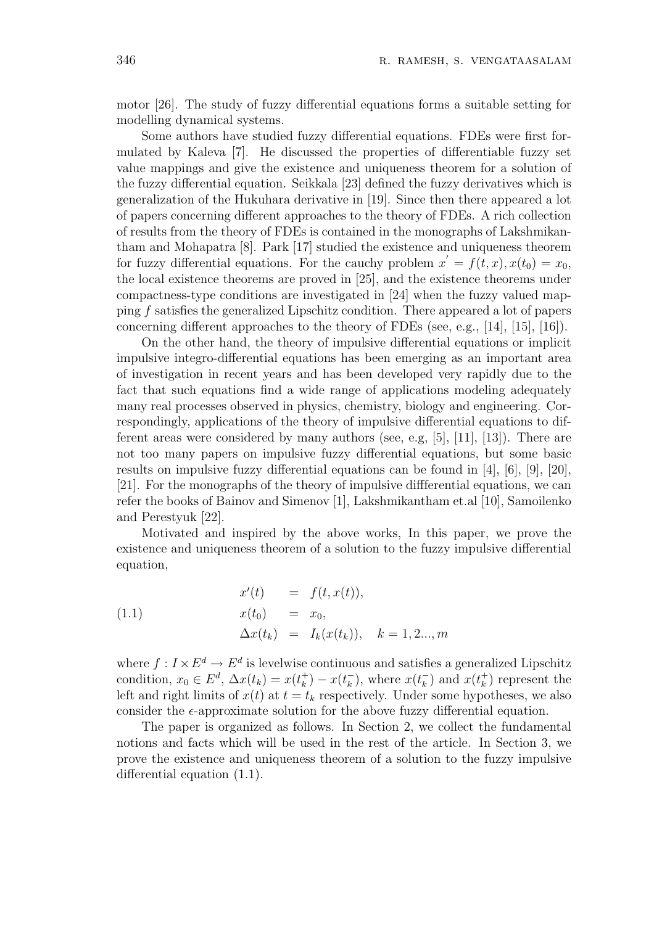motor [26]. The study of fuzzy differential equations forms a suitable setting for modelling dynamical systems.

Some authors have studied fuzzy differential equations. FDEs were first formulated by Kaleva [7]. He discussed the properties of differentiable fuzzy set value mappings and give the existence and uniqueness theorem for a solution of the fuzzy differential equation. Seikkala [23] defined the fuzzy derivatives which is generalization of the Hukuhara derivative in [19]. Since then there appeared a lot of papers concerning different approaches to the theory of FDEs. A rich collection of results from the theory of FDEs is contained in the monographs of Lakshmikantham and Mohapatra [8]. Park [17] studied the existence and uniqueness theorem for fuzzy differential equations. For the cauchy problem  $x' = f(t, x)$ ,  $x(t_0) = x_0$ , the local existence theorems are proved in [25], and the existence theorems under compactness-type conditions are investigated in [24] when the fuzzy valued mapping f satisfies the generalized Lipschitz condition. There appeared a lot of papers concerning different approaches to the theory of FDEs (see, e.g., [14], [15], [16]).

On the other hand, the theory of impulsive differential equations or implicit impulsive integro-differential equations has been emerging as an important area of investigation in recent years and has been developed very rapidly due to the fact that such equations find a wide range of applications modeling adequately many real processes observed in physics, chemistry, biology and engineering. Correspondingly, applications of the theory of impulsive differential equations to different areas were considered by many authors (see, e.g, [5], [11], [13]). There are not too many papers on impulsive fuzzy differential equations, but some basic results on impulsive fuzzy differential equations can be found in [4], [6], [9], [20], [21]. For the monographs of the theory of impulsive diffferential equations, we can refer the books of Bainov and Simenov [1], Lakshmikantham et.al [10], Samoilenko and Perestyuk [22].

Motivated and inspired by the above works, In this paper, we prove the existence and uniqueness theorem of a solution to the fuzzy impulsive differential equation,

(1.1) 
$$
x'(t) = f(t, x(t)), \n x(t_0) = x_0, \n \Delta x(t_k) = I_k(x(t_k)), \quad k = 1, 2..., m
$$

where  $f: I \times E^d \to E^d$  is levelwise continuous and satisfies a generalized Lipschitz condition,  $x_0 \in E^d$ ,  $\Delta x(t_k) = x(t_k^+)$  $(k)$ <sub>k</sub> $) - x(t_k^-)$  $\frac{1}{k}$ ), where  $x(t_k^-)$  $\binom{ }{k}$  and  $x(t_k^+$  $\binom{+}{k}$  represent the left and right limits of  $x(t)$  at  $t = t_k$  respectively. Under some hypotheses, we also consider the  $\epsilon$ -approximate solution for the above fuzzy differential equation.

The paper is organized as follows. In Section 2, we collect the fundamental notions and facts which will be used in the rest of the article. In Section 3, we prove the existence and uniqueness theorem of a solution to the fuzzy impulsive differential equation (1.1).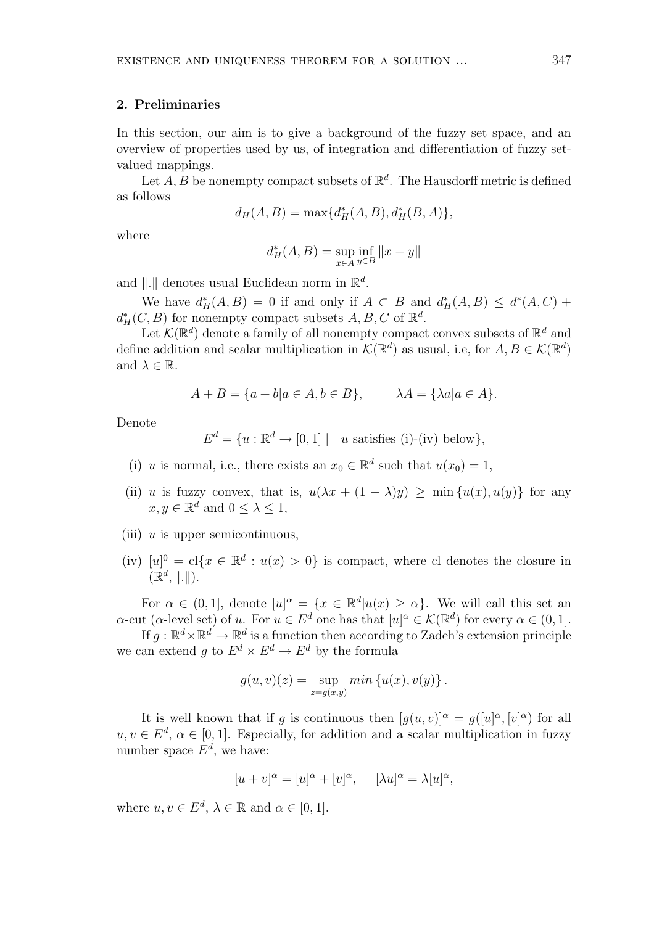## 2. Preliminaries

In this section, our aim is to give a background of the fuzzy set space, and an overview of properties used by us, of integration and differentiation of fuzzy setvalued mappings.

Let  $A, B$  be nonempty compact subsets of  $\mathbb{R}^d$ . The Hausdorff metric is defined as follows

$$
d_H(A, B) = \max\{d_H^*(A, B), d_H^*(B, A)\},\
$$

where

$$
d^*_H(A,B)=\sup_{x\in A}\inf_{y\in B}\|x-y\|
$$

and  $\|\cdot\|$  denotes usual Euclidean norm in  $\mathbb{R}^d$ .

We have  $d^*_H(A, B) = 0$  if and only if  $A \subset B$  and  $d^*_H(A, B) \leq d^*(A, C) +$  $d^*_H(C, B)$  for nonempty compact subsets  $A, B, C$  of  $\mathbb{R}^d$ .

Let  $\mathcal{K}(\mathbb{R}^d)$  denote a family of all nonempty compact convex subsets of  $\mathbb{R}^d$  and define addition and scalar multiplication in  $\mathcal{K}(\mathbb{R}^d)$  as usual, i.e, for  $A, B \in \mathcal{K}(\mathbb{R}^d)$ and  $\lambda \in \mathbb{R}$ .

$$
A + B = \{a + b | a \in A, b \in B\}, \qquad \lambda A = \{\lambda a | a \in A\}.
$$

Denote

$$
E^d = \{ u : \mathbb{R}^d \to [0,1] \mid u \text{ satisfies (i)-(iv) below} \},
$$

- (i) u is normal, i.e., there exists an  $x_0 \in \mathbb{R}^d$  such that  $u(x_0) = 1$ ,
- (ii) u is fuzzy convex, that is,  $u(\lambda x + (1 \lambda)y) \ge \min\{u(x), u(y)\}\)$  for any  $x, y \in \mathbb{R}^d$  and  $0 \leq \lambda \leq 1$ ,
- (iii)  $u$  is upper semicontinuous,
- (iv)  $[u]^0 = cl\{x \in \mathbb{R}^d : u(x) > 0\}$  is compact, where cl denotes the closure in  $(\mathbb{R}^d, \|\. \|).$

For  $\alpha \in (0,1]$ , denote  $[u]^\alpha = \{x \in \mathbb{R}^d | u(x) \geq \alpha\}$ . We will call this set an  $\alpha$ -cut ( $\alpha$ -level set) of u. For  $u \in E^d$  one has that  $[u]^\alpha \in \mathcal{K}(\mathbb{R}^d)$  for every  $\alpha \in (0,1]$ .

If  $g: \mathbb{R}^d \times \mathbb{R}^d \to \mathbb{R}^d$  is a function then according to Zadeh's extension principle we can extend g to  $E^d \times E^d \to E^d$  by the formula

$$
g(u, v)(z) = \sup_{z=g(x,y)} min \{u(x), v(y)\}.
$$

It is well known that if g is continuous then  $[g(u, v)]^{\alpha} = g([u]^{\alpha}, [v]^{\alpha})$  for all  $u, v \in E^d$ ,  $\alpha \in [0, 1]$ . Especially, for addition and a scalar multiplication in fuzzy number space  $E^d$ , we have:

$$
[u + v]^{\alpha} = [u]^{\alpha} + [v]^{\alpha}, \quad [\lambda u]^{\alpha} = \lambda [u]^{\alpha},
$$

where  $u, v \in E^d$ ,  $\lambda \in \mathbb{R}$  and  $\alpha \in [0, 1]$ .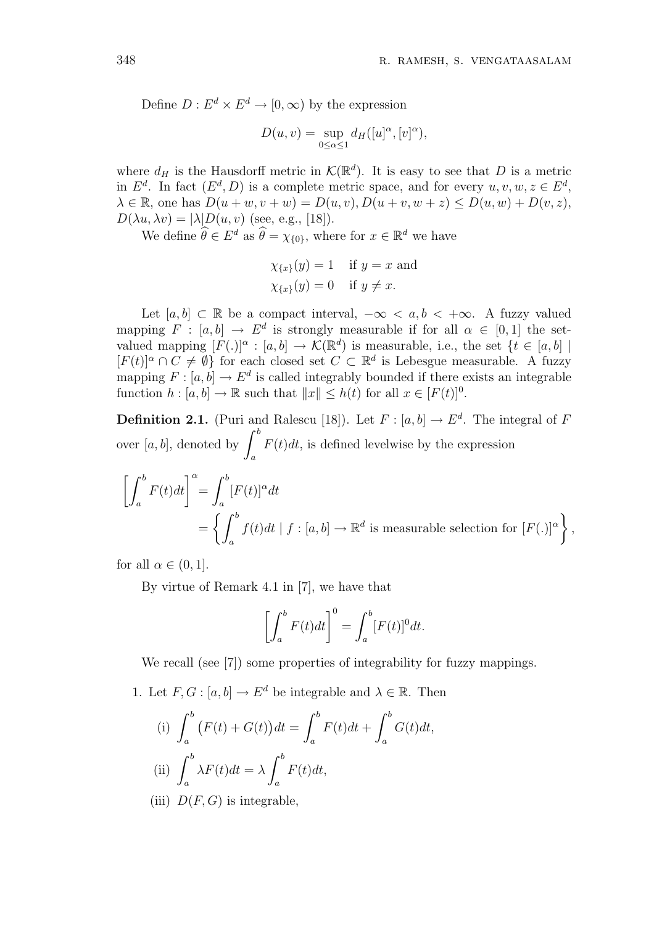Define  $D: E^d \times E^d \to [0, \infty)$  by the expression

$$
D(u, v) = \sup_{0 \le \alpha \le 1} d_H([u]^\alpha, [v]^\alpha),
$$

where  $d_H$  is the Hausdorff metric in  $\mathcal{K}(\mathbb{R}^d)$ . It is easy to see that D is a metric in  $E^d$ . In fact  $(E^d, D)$  is a complete metric space, and for every  $u, v, w, z \in E^d$ ,  $\lambda \in \mathbb{R}$ , one has  $D(u + w, v + w) = D(u, v), D(u + v, w + z) \le D(u, w) + D(v, z)$ ,  $D(\lambda u, \lambda v) = |\lambda| D(u, v)$  (see, e.g., [18]).

We define  $\widehat{\theta} \in E^d$  as  $\widehat{\theta} = \chi_{\{0\}}$ , where for  $x \in \mathbb{R}^d$  we have

$$
\chi_{\{x\}}(y) = 1 \quad \text{if } y = x \text{ and}
$$

$$
\chi_{\{x\}}(y) = 0 \quad \text{if } y \neq x.
$$

Let  $[a, b] \subset \mathbb{R}$  be a compact interval,  $-\infty < a, b < +\infty$ . A fuzzy valued mapping  $F : [a, b] \to E^d$  is strongly measurable if for all  $\alpha \in [0, 1]$  the setvalued mapping  $[F(.)]^\alpha : [a, b] \to \mathcal{K}(\mathbb{R}^d)$  is measurable, i.e., the set  $\{t \in [a, b] \mid$  $[F(t)]^{\alpha} \cap C \neq \emptyset$  for each closed set  $C \subset \mathbb{R}^{d}$  is Lebesgue measurable. A fuzzy mapping  $F : [a, b] \to E^d$  is called integrably bounded if there exists an integrable function  $h: [a, b] \to \mathbb{R}$  such that  $||x|| \leq h(t)$  for all  $x \in [F(t)]^0$ .

**Definition 2.1.** (Puri and Ralescu [18]). Let  $F : [a, b] \to E^d$ . The integral of F **Demition 2.1.** (1 and all<br>over [a, b], denoted by  $\int^{b}$ a  $F(t)dt$ , is defined levelwise by the expression

$$
\left[\int_a^b F(t)dt\right]^\alpha = \int_a^b [F(t)]^\alpha dt
$$
  
=  $\left\{\int_a^b f(t)dt \mid f : [a, b] \to \mathbb{R}^d \text{ is measurable selection for } [F(.)]^\alpha\right\},\$ 

for all  $\alpha \in (0,1]$ .

By virtue of Remark 4.1 in [7], we have that

$$
\left[\int_a^b F(t)dt\right]^0 = \int_a^b [F(t)]^0 dt.
$$

We recall (see [7]) some properties of integrability for fuzzy mappings.

1. Let  $F, G : [a, b] \to E^d$  be integrable and  $\lambda \in \mathbb{R}$ . Then

(i) 
$$
\int_{a}^{b} (F(t) + G(t))dt = \int_{a}^{b} F(t)dt + \int_{a}^{b} G(t)dt,
$$
  
\n(ii) 
$$
\int_{a}^{b} \lambda F(t)dt = \lambda \int_{a}^{b} F(t)dt,
$$

(iii)  $D(F, G)$  is integrable,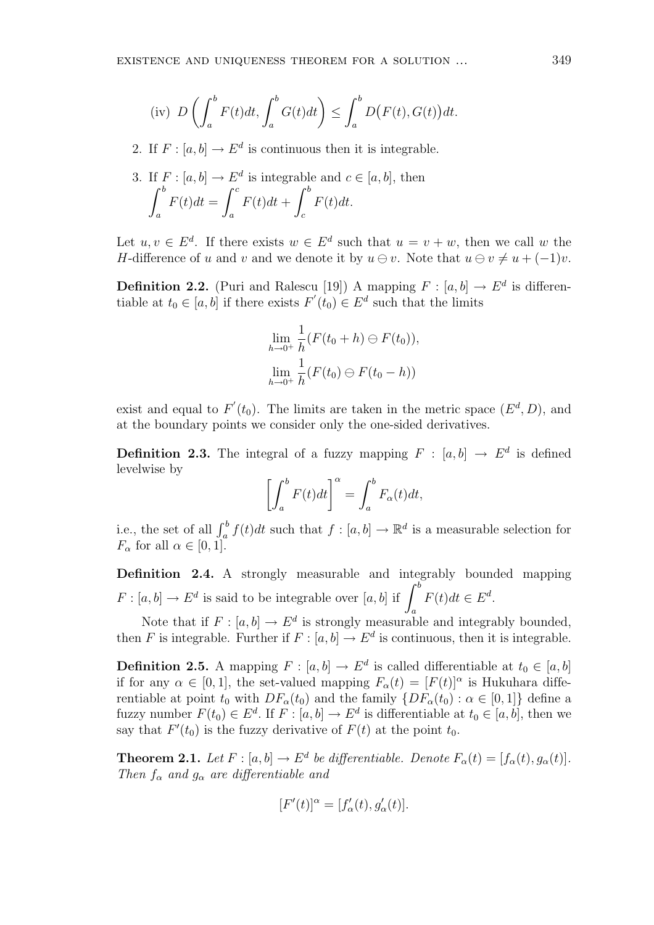(iv) 
$$
D\left(\int_a^b F(t)dt, \int_a^b G(t)dt\right) \le \int_a^b D(F(t), G(t))dt.
$$

2. If  $F : [a, b] \to E^d$  is continuous then it is integrable.

3. If 
$$
F : [a, b] \to E^d
$$
 is integrable and  $c \in [a, b]$ , then  
\n
$$
\int_a^b F(t)dt = \int_a^c F(t)dt + \int_c^b F(t)dt.
$$

Let  $u, v \in E^d$ . If there exists  $w \in E^d$  such that  $u = v + w$ , then we call w the H-difference of u and v and we denote it by  $u \ominus v$ . Note that  $u \ominus v \neq u + (-1)v$ .

**Definition 2.2.** (Puri and Ralescu [19]) A mapping  $F : [a, b] \to E^d$  is differentiable at  $t_0 \in [a, b]$  if there exists  $F'(t_0) \in E^d$  such that the limits

$$
\lim_{h \to 0^+} \frac{1}{h} (F(t_0 + h) \ominus F(t_0)),
$$
  

$$
\lim_{h \to 0^+} \frac{1}{h} (F(t_0) \ominus F(t_0 - h))
$$

exist and equal to  $F'(t_0)$ . The limits are taken in the metric space  $(E^d, D)$ , and at the boundary points we consider only the one-sided derivatives.

**Definition 2.3.** The integral of a fuzzy mapping  $F : [a, b] \rightarrow E^d$  is defined levelwise by

$$
\left[\int_a^b F(t)dt\right]^\alpha = \int_a^b F_\alpha(t)dt,
$$

i.e., the set of all  $\int_a^b f(t)dt$  such that  $f : [a, b] \to \mathbb{R}^d$  is a measurable selection for  $F_{\alpha}$  for all  $\alpha \in [0, 1]$ .

Definition 2.4. A strongly measurable and integrably bounded mapping **Definition** 2.4. A strongly measurable and integrable  $F : [a, b] \rightarrow E^d$  is said to be integrable over  $[a, b]$  if  $\int^b$ a  $F(t)dt \in E^d$ .

Note that if  $F : [a, b] \to E^d$  is strongly measurable and integrably bounded, then F is integrable. Further if  $F : [a, b] \to E^d$  is continuous, then it is integrable.

**Definition 2.5.** A mapping  $F : [a, b] \to E^d$  is called differentiable at  $t_0 \in [a, b]$ if for any  $\alpha \in [0,1]$ , the set-valued mapping  $F_{\alpha}(t) = [F(t)]^{\alpha}$  is Hukuhara differentiable at point  $t_0$  with  $DF_\alpha(t_0)$  and the family  $\{DF_\alpha(t_0) : \alpha \in [0,1]\}$  define a fuzzy number  $F(t_0) \in E^d$ . If  $F : [a, b] \to E^d$  is differentiable at  $t_0 \in [a, b]$ , then we say that  $F'(t_0)$  is the fuzzy derivative of  $F(t)$  at the point  $t_0$ .

**Theorem 2.1.** Let  $F : [a, b] \to E^d$  be differentiable. Denote  $F_\alpha(t) = [f_\alpha(t), g_\alpha(t)]$ . Then  $f_{\alpha}$  and  $g_{\alpha}$  are differentiable and

$$
[F'(t)]^{\alpha} = [f'_{\alpha}(t), g'_{\alpha}(t)].
$$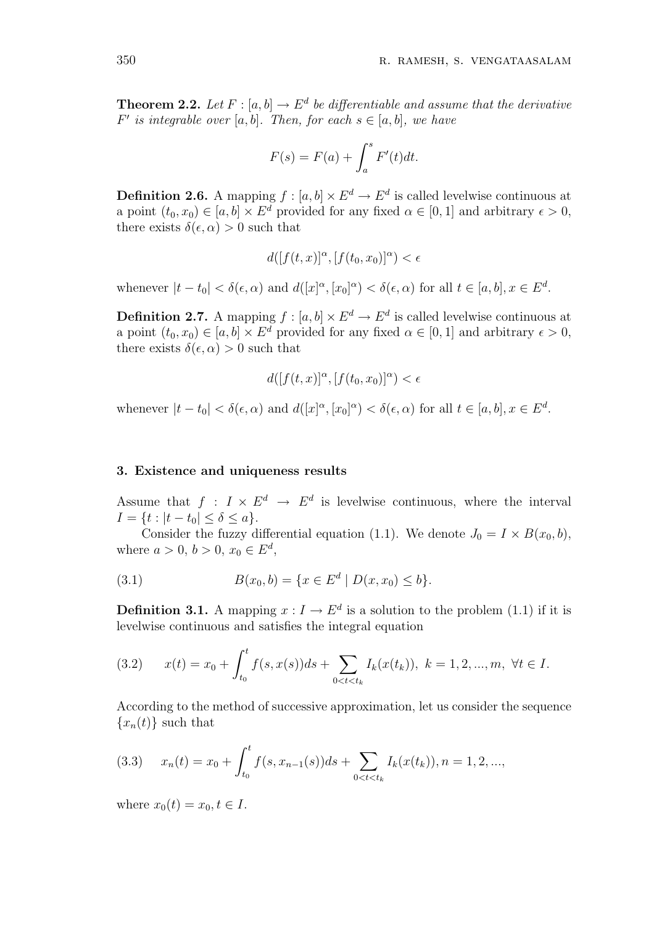**Theorem 2.2.** Let  $F : [a, b] \to E^d$  be differentiable and assume that the derivative  $F'$  is integrable over [a, b]. Then, for each  $s \in [a, b]$ , we have

$$
F(s) = F(a) + \int_a^s F'(t)dt.
$$

**Definition 2.6.** A mapping  $f : [a, b] \times E^d \to E^d$  is called levelwise continuous at a point  $(t_0, x_0) \in [a, b] \times E^d$  provided for any fixed  $\alpha \in [0, 1]$  and arbitrary  $\epsilon > 0$ , there exists  $\delta(\epsilon, \alpha) > 0$  such that

$$
d([f(t,x)]^{\alpha}, [f(t_0,x_0)]^{\alpha}) < \epsilon
$$

whenever  $|t-t_0| < \delta(\epsilon, \alpha)$  and  $d([x]^\alpha, [x_0]^\alpha) < \delta(\epsilon, \alpha)$  for all  $t \in [a, b], x \in E^d$ .

**Definition 2.7.** A mapping  $f : [a, b] \times E^d \to E^d$  is called levelwise continuous at a point  $(t_0, x_0) \in [a, b] \times E^d$  provided for any fixed  $\alpha \in [0, 1]$  and arbitrary  $\epsilon > 0$ , there exists  $\delta(\epsilon, \alpha) > 0$  such that

$$
d([f(t,x)]^{\alpha}, [f(t_0,x_0)]^{\alpha}) < \epsilon
$$

whenever  $|t-t_0| < \delta(\epsilon, \alpha)$  and  $d([x]^\alpha, [x_0]^\alpha) < \delta(\epsilon, \alpha)$  for all  $t \in [a, b], x \in E^d$ .

#### 3. Existence and uniqueness results

Assume that  $f: I \times E^d \to E^d$  is levelwise continuous, where the interval  $I = \{t : |t - t_0| \le \delta \le a\}.$ 

Consider the fuzzy differential equation (1.1). We denote  $J_0 = I \times B(x_0, b)$ , where  $a > 0, b > 0, x_0 \in E^d$ ,

(3.1) 
$$
B(x_0, b) = \{x \in E^d \mid D(x, x_0) \le b\}.
$$

**Definition 3.1.** A mapping  $x: I \to E^d$  is a solution to the problem (1.1) if it is levelwise continuous and satisfies the integral equation

$$
(3.2) \t x(t) = x_0 + \int_{t_0}^t f(s, x(s))ds + \sum_{0 < t < t_k} I_k(x(t_k)), \ k = 1, 2, \dots, m, \ \forall t \in I.
$$

According to the method of successive approximation, let us consider the sequence  ${x_n(t)}$  such that

$$
(3.3) \t xn(t) = x0 + \int_{t_0}^t f(s, x_{n-1}(s))ds + \sum_{0 < t < t_k} I_k(x(t_k)), n = 1, 2, \dots,
$$

where  $x_0(t) = x_0, t \in I$ .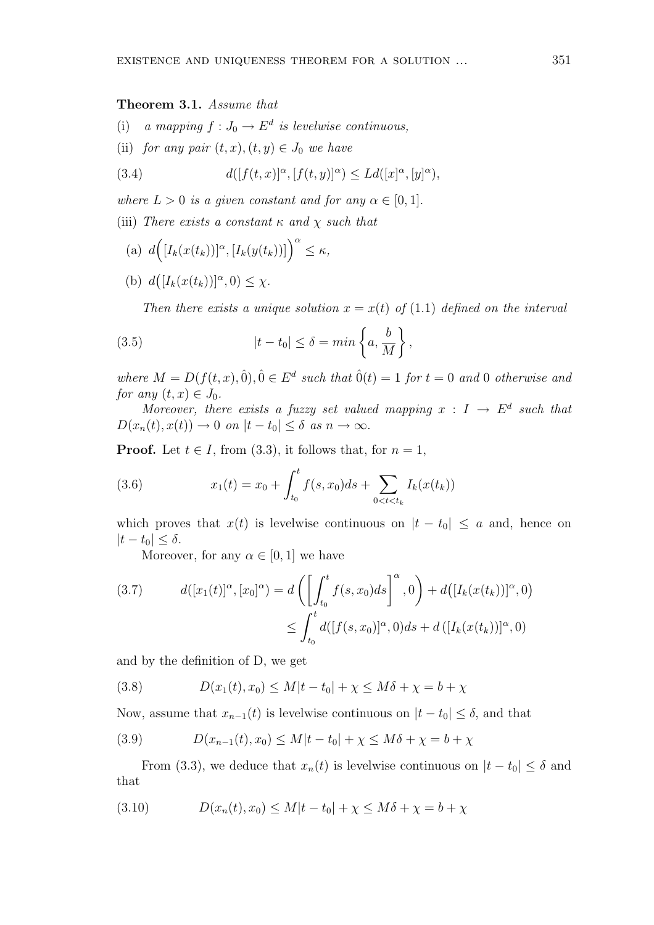# Theorem 3.1. Assume that

- (i) a mapping  $f: J_0 \to E^d$  is levelwise continuous,
- (ii) for any pair  $(t, x), (t, y) \in J_0$  we have

(3.4) 
$$
d([f(t,x)]^{\alpha},[f(t,y)]^{\alpha}) \leq Ld([x]^{\alpha},[y]^{\alpha}),
$$

where  $L > 0$  is a given constant and for any  $\alpha \in [0, 1]$ .

(iii) There exists a constant  $\kappa$  and  $\chi$  such that

- $(a) d$  $\overline{a}$  $[I_k(x(t_k))]^{\alpha}, [I_k(y(t_k))]\Big)^{\alpha} \leq \kappa,$ ¡
- $(b) d$  $[I_k(x(t_k))]^{\alpha},0) \leq \chi.$

Then there exists a unique solution  $x = x(t)$  of (1.1) defined on the interval

(3.5) 
$$
|t - t_0| \leq \delta = \min \left\{ a, \frac{b}{M} \right\},\,
$$

where  $M = D(f(t, x), 0), 0 \in E^d$  such that  $\hat{0}(t) = 1$  for  $t = 0$  and 0 otherwise and for any  $(t, x) \in J_0$ .

Moreover, there exists a fuzzy set valued mapping  $x : I \to E^d$  such that  $D(x_n(t), x(t)) \to 0$  on  $|t-t_0| \leq \delta$  as  $n \to \infty$ .

**Proof.** Let  $t \in I$ , from (3.3), it follows that, for  $n = 1$ ,

(3.6) 
$$
x_1(t) = x_0 + \int_{t_0}^t f(s, x_0) ds + \sum_{0 < t < t_k} I_k(x(t_k))
$$

which proves that  $x(t)$  is levelwise continuous on  $|t - t_0| \le a$  and, hence on  $|t-t_0|\leq \delta.$ 

Moreover, for any  $\alpha \in [0, 1]$  we have

(3.7) 
$$
d([x_1(t)]^{\alpha}, [x_0]^{\alpha}) = d\left(\left[\int_{t_0}^t f(s, x_0)ds\right]^{\alpha}, 0\right) + d([I_k(x(t_k))]^{\alpha}, 0)
$$

$$
\leq \int_{t_0}^t d([f(s, x_0)]^{\alpha}, 0)ds + d([I_k(x(t_k))]^{\alpha}, 0)
$$

and by the definition of D, we get

(3.8) 
$$
D(x_1(t), x_0) \le M|t - t_0| + \chi \le M\delta + \chi = b + \chi
$$

Now, assume that  $x_{n-1}(t)$  is levelwise continuous on  $|t-t_0| \leq \delta$ , and that

(3.9) 
$$
D(x_{n-1}(t), x_0) \le M|t - t_0| + \chi \le M\delta + \chi = b + \chi
$$

From (3.3), we deduce that  $x_n(t)$  is levelwise continuous on  $|t-t_0| \leq \delta$  and that

(3.10)  $D(x_n(t), x_0) \leq M|t-t_0| + \chi \leq M\delta + \chi = b + \chi$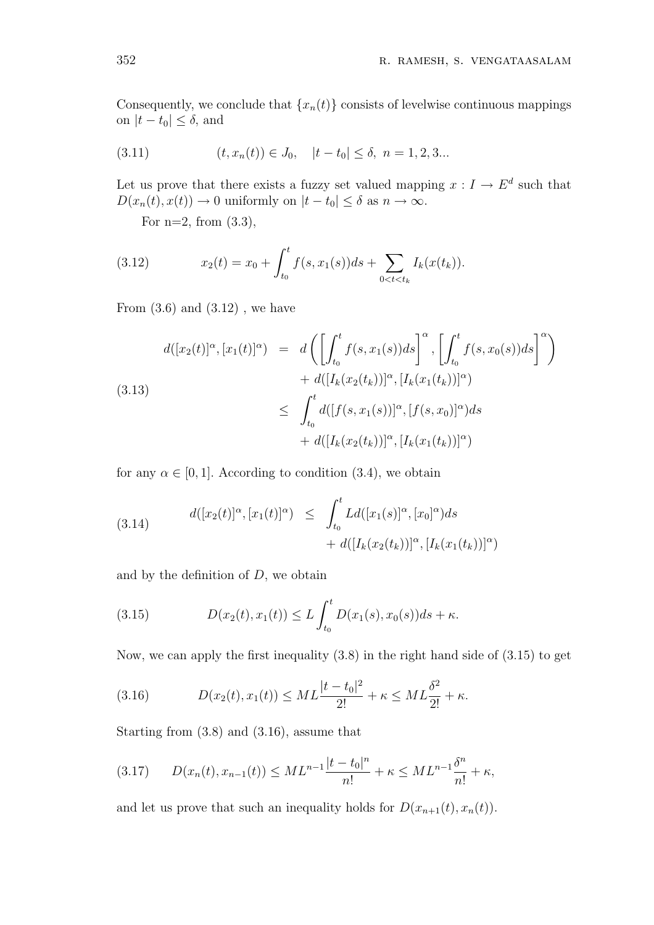Consequently, we conclude that  $\{x_n(t)\}$  consists of levelwise continuous mappings on  $|t - t_0| \le \delta$ , and

(3.11) 
$$
(t, x_n(t)) \in J_0, \quad |t - t_0| \le \delta, \ n = 1, 2, 3...
$$

Let us prove that there exists a fuzzy set valued mapping  $x: I \to E^d$  such that  $D(x_n(t), x(t)) \to 0$  uniformly on  $|t - t_0| \leq \delta$  as  $n \to \infty$ .

For  $n=2$ , from  $(3.3)$ ,

(3.12) 
$$
x_2(t) = x_0 + \int_{t_0}^t f(s, x_1(s))ds + \sum_{0 < t < t_k} I_k(x(t_k)).
$$

From  $(3.6)$  and  $(3.12)$ , we have

$$
d([x_2(t)]^{\alpha}, [x_1(t)]^{\alpha}) = d\left(\left[\int_{t_0}^t f(s, x_1(s))ds\right]^{\alpha}, \left[\int_{t_0}^t f(s, x_0(s))ds\right]^{\alpha}\right) + d([I_k(x_2(t_k))]^{\alpha}, [I_k(x_1(t_k))]^{\alpha}) \leq \int_{t_0}^t d([f(s, x_1(s))]^{\alpha}, [f(s, x_0)]^{\alpha})ds + d([I_k(x_2(t_k))]^{\alpha}, [I_k(x_1(t_k))]^{\alpha})
$$

for any  $\alpha \in [0, 1]$ . According to condition (3.4), we obtain

(3.14) 
$$
d([x_2(t)]^{\alpha}, [x_1(t)]^{\alpha}) \leq \int_{t_0}^t L d([x_1(s)]^{\alpha}, [x_0]^{\alpha}) ds + d([I_k(x_2(t_k))]^{\alpha}, [I_k(x_1(t_k))]^{\alpha})
$$

and by the definition of  $D$ , we obtain

(3.15) 
$$
D(x_2(t), x_1(t)) \leq L \int_{t_0}^t D(x_1(s), x_0(s))ds + \kappa.
$$

Now, we can apply the first inequality (3.8) in the right hand side of (3.15) to get

(3.16) 
$$
D(x_2(t), x_1(t)) \leq ML \frac{|t - t_0|^2}{2!} + \kappa \leq ML \frac{\delta^2}{2!} + \kappa.
$$

Starting from (3.8) and (3.16), assume that

$$
(3.17) \qquad D(x_n(t), x_{n-1}(t)) \leq ML^{n-1} \frac{|t - t_0|^n}{n!} + \kappa \leq ML^{n-1} \frac{\delta^n}{n!} + \kappa,
$$

and let us prove that such an inequality holds for  $D(x_{n+1}(t), x_n(t))$ .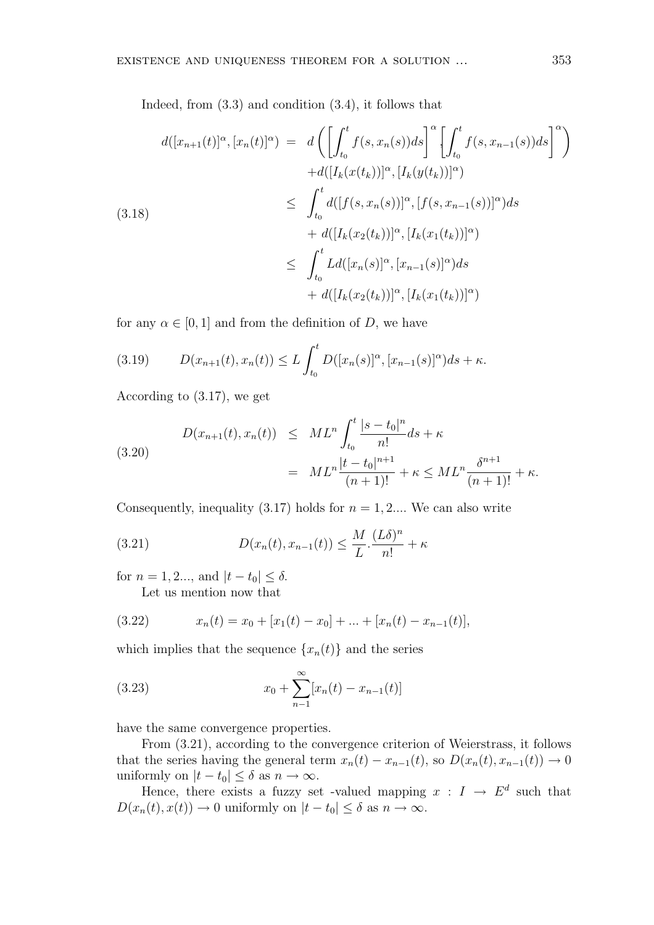Indeed, from (3.3) and condition (3.4), it follows that

$$
d([x_{n+1}(t)]^{\alpha}, [x_n(t)]^{\alpha}) = d\left(\left[\int_{t_0}^t f(s, x_n(s))ds\right]^{\alpha} \left[\int_{t_0}^t f(s, x_{n-1}(s))ds\right]^{\alpha}\right) + d([I_k(x(t_k))]^{\alpha}, [I_k(y(t_k))]^{\alpha}) \leq \int_{t_0}^t d([f(s, x_n(s))]^{\alpha}, [f(s, x_{n-1}(s))]^{\alpha})ds + d([I_k(x_2(t_k))]^{\alpha}, [I_k(x_1(t_k))]^{\alpha}) \leq \int_{t_0}^t Ld([x_n(s)]^{\alpha}, [x_{n-1}(s)]^{\alpha})ds + d([I_k(x_2(t_k))]^{\alpha}, [I_k(x_1(t_k))]^{\alpha})
$$

for any  $\alpha \in [0, 1]$  and from the definition of D, we have

(3.19) 
$$
D(x_{n+1}(t), x_n(t)) \le L \int_{t_0}^t D([x_n(s)]^{\alpha}, [x_{n-1}(s)]^{\alpha}) ds + \kappa.
$$

According to (3.17), we get

(3.20) 
$$
D(x_{n+1}(t), x_n(t)) \leq ML^n \int_{t_0}^t \frac{|s - t_0|^n}{n!} ds + \kappa
$$

$$
= ML^n \frac{|t - t_0|^{n+1}}{(n+1)!} + \kappa \leq ML^n \frac{\delta^{n+1}}{(n+1)!} + \kappa.
$$

Consequently, inequality  $(3.17)$  holds for  $n = 1, 2...$  We can also write

(3.21) 
$$
D(x_n(t), x_{n-1}(t)) \leq \frac{M}{L} \cdot \frac{(L\delta)^n}{n!} + \kappa
$$

for  $n = 1, 2...$ , and  $|t - t_0| \le \delta$ .

Let us mention now that

(3.22) 
$$
x_n(t) = x_0 + [x_1(t) - x_0] + ... + [x_n(t) - x_{n-1}(t)],
$$

which implies that the sequence  $\{x_n(t)\}\$ and the series

(3.23) 
$$
x_0 + \sum_{n=1}^{\infty} [x_n(t) - x_{n-1}(t)]
$$

have the same convergence properties.

From (3.21), according to the convergence criterion of Weierstrass, it follows that the series having the general term  $x_n(t) - x_{n-1}(t)$ , so  $D(x_n(t), x_{n-1}(t)) \to 0$ uniformly on  $|t - t_0| \leq \delta$  as  $n \to \infty$ .

Hence, there exists a fuzzy set -valued mapping  $x : I \to E^d$  such that  $D(x_n(t), x(t)) \to 0$  uniformly on  $|t - t_0| \le \delta$  as  $n \to \infty$ .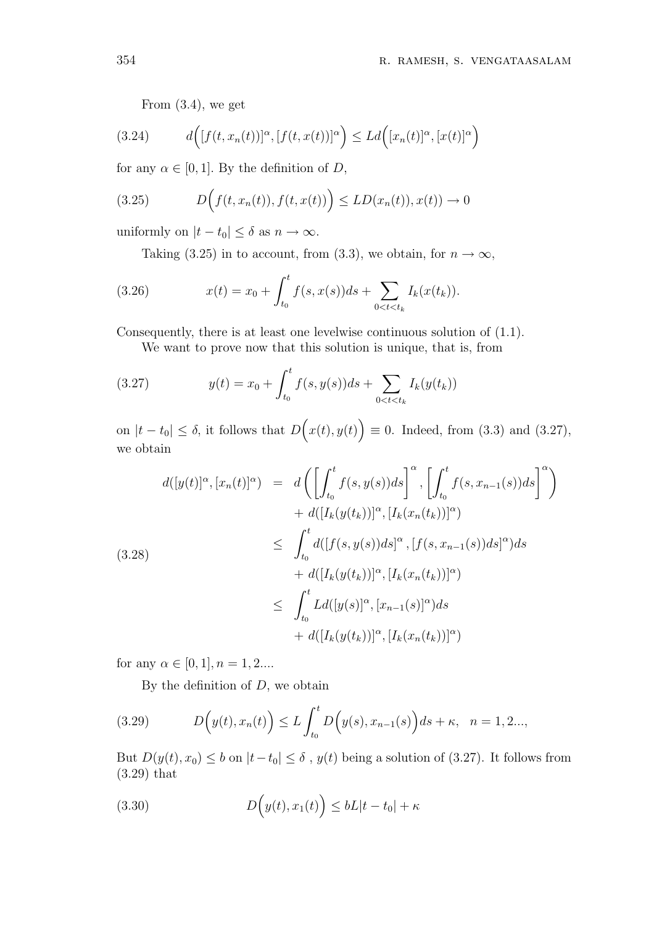From (3.4), we get

(3.24) 
$$
d\Big([f(t,x_n(t))]^{\alpha},[f(t,x(t))]^{\alpha}\Big)\leq Ld\Big([x_n(t)]^{\alpha},[x(t)]^{\alpha}\Big)
$$

for any  $\alpha \in [0, 1]$ . By the definition of D,

(3.25) 
$$
D\Big(f(t,x_n(t)),f(t,x(t))\Big) \leq LD(x_n(t)),x(t)) \to 0
$$

uniformly on  $|t - t_0| \leq \delta$  as  $n \to \infty$ .

Taking (3.25) in to account, from (3.3), we obtain, for 
$$
n \to \infty
$$
,

(3.26) 
$$
x(t) = x_0 + \int_{t_0}^t f(s, x(s))ds + \sum_{0 < t < t_k} I_k(x(t_k)).
$$

Consequently, there is at least one levelwise continuous solution of (1.1).

We want to prove now that this solution is unique, that is, from

(3.27) 
$$
y(t) = x_0 + \int_{t_0}^t f(s, y(s))ds + \sum_{0 < t < t_k} I_k(y(t_k))
$$

on  $|t - t_0| \leq \delta$ , it follows that D  $\overline{a}$  $x(t), y(t)$ ´  $\equiv$  0. Indeed, from (3.3) and (3.27), we obtain

$$
d([y(t)]^{\alpha}, [x_n(t)]^{\alpha}) = d\left(\left[\int_{t_0}^t f(s, y(s))ds\right]^{\alpha}, \left[\int_{t_0}^t f(s, x_{n-1}(s))ds\right]^{\alpha}\right) + d([I_k(y(t_k))]^{\alpha}, [I_k(x_n(t_k))]^{\alpha}) \leq \int_{t_0}^t d([f(s, y(s))ds]^{\alpha}, [f(s, x_{n-1}(s))ds]^{\alpha})ds + d([I_k(y(t_k))]^{\alpha}, [I_k(x_n(t_k))]^{\alpha}) \leq \int_{t_0}^t Ld([y(s)]^{\alpha}, [x_{n-1}(s)]^{\alpha})ds + d([I_k(y(t_k))]^{\alpha}, [I_k(x_n(t_k))]^{\alpha})
$$

for any  $\alpha \in [0, 1], n = 1, 2...$ 

By the definition of  $D$ , we obtain

(3.29) 
$$
D\Big(y(t), x_n(t)\Big) \le L \int_{t_0}^t D\Big(y(s), x_{n-1}(s)\Big) ds + \kappa, \quad n = 1, 2...,
$$

But  $D(y(t), x_0) \le b$  on  $|t-t_0| \le \delta$ ,  $y(t)$  being a solution of (3.27). It follows from (3.29) that

(3.30) 
$$
D\Big(y(t), x_1(t)\Big) \leq bL|t - t_0| + \kappa
$$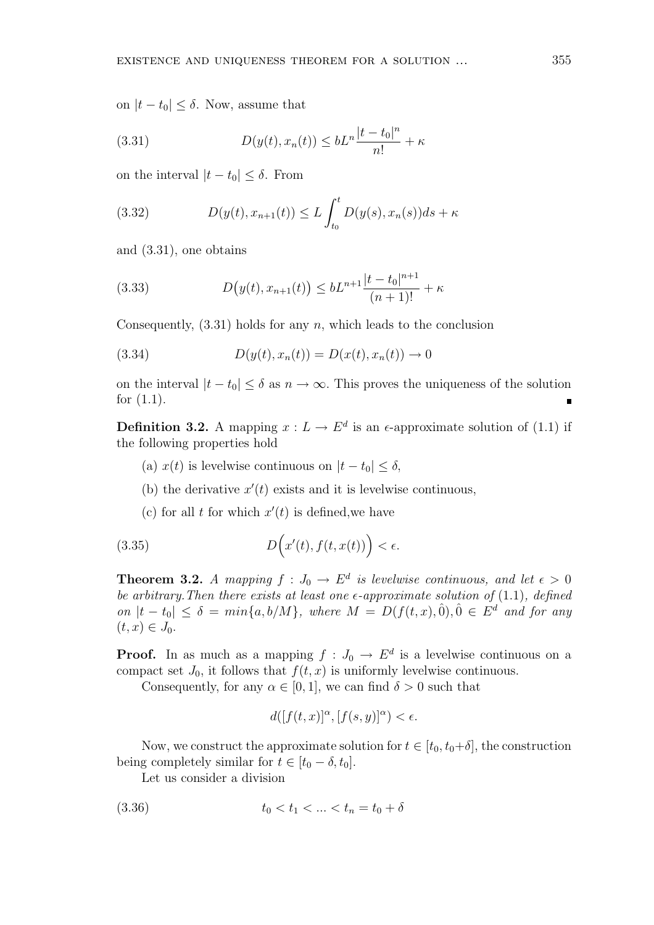on  $|t - t_0| \leq \delta$ . Now, assume that

(3.31) 
$$
D(y(t), x_n(t)) \leq bL^n \frac{|t - t_0|^n}{n!} + \kappa
$$

on the interval  $|t - t_0| \leq \delta$ . From

(3.32) 
$$
D(y(t), x_{n+1}(t)) \le L \int_{t_0}^t D(y(s), x_n(s)) ds + \kappa
$$

and (3.31), one obtains

(3.33) 
$$
D(y(t), x_{n+1}(t)) \leq bL^{n+1} \frac{|t-t_0|^{n+1}}{(n+1)!} + \kappa
$$

Consequently,  $(3.31)$  holds for any n, which leads to the conclusion

(3.34) 
$$
D(y(t), x_n(t)) = D(x(t), x_n(t)) \to 0
$$

on the interval  $|t - t_0| \leq \delta$  as  $n \to \infty$ . This proves the uniqueness of the solution for (1.1).  $\blacksquare$ 

**Definition 3.2.** A mapping  $x: L \to E^d$  is an  $\epsilon$ -approximate solution of (1.1) if the following properties hold

- (a)  $x(t)$  is levelwise continuous on  $|t-t_0| \leq \delta$ ,
- (b) the derivative  $x'(t)$  exists and it is levelwise continuous,
- (c) for all t for which  $x'(t)$  is defined, we have

(3.35) 
$$
D\Big(x'(t), f(t,x(t))\Big) < \epsilon.
$$

**Theorem 3.2.** A mapping  $f: J_0 \to E^d$  is levelwise continuous, and let  $\epsilon > 0$ be arbitrary. Then there exists at least one  $\epsilon$ -approximate solution of (1.1), defined on  $|t-t_0| \leq \delta = min\{a, b/M\}$ , where  $M = D(f(t,x), 0), 0 \in E^d$  and for any  $(t, x) \in J_0$ .

**Proof.** In as much as a mapping  $f: J_0 \to E^d$  is a levelwise continuous on a compact set  $J_0$ , it follows that  $f(t, x)$  is uniformly levelwise continuous.

Consequently, for any  $\alpha \in [0, 1]$ , we can find  $\delta > 0$  such that

$$
d([f(t,x)]^{\alpha}, [f(s,y)]^{\alpha}) < \epsilon.
$$

Now, we construct the approximate solution for  $t \in [t_0, t_0+\delta]$ , the construction being completely similar for  $t \in [t_0 - \delta, t_0]$ .

Let us consider a division

(3.36) 
$$
t_0 < t_1 < \ldots < t_n = t_0 + \delta
$$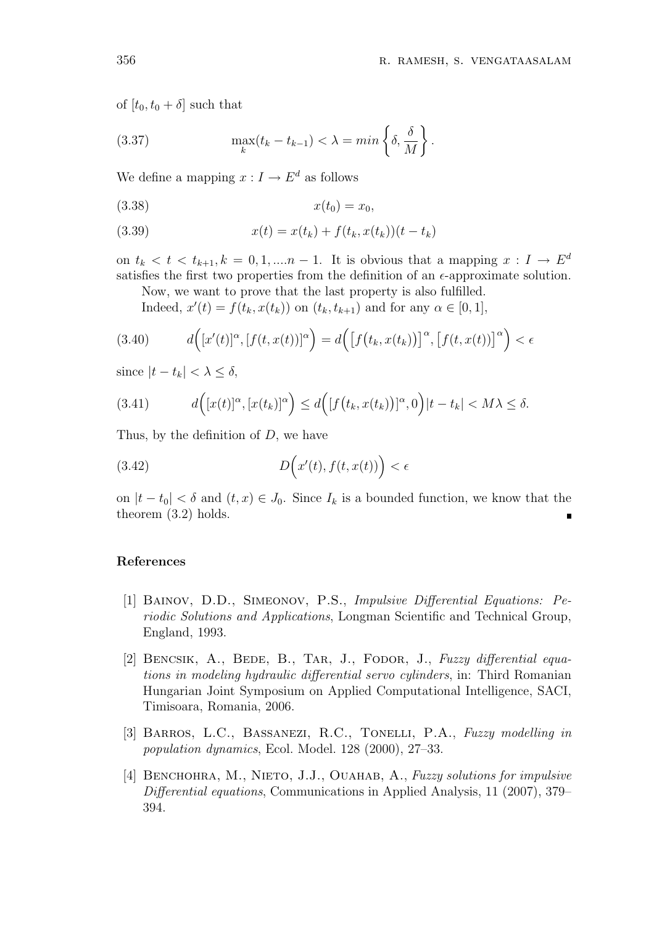$\epsilon$ 

of  $[t_0, t_0 + \delta]$  such that

(3.37) 
$$
\max_{k} (t_k - t_{k-1}) < \lambda = \min \left\{ \delta, \frac{\delta}{M} \right\}.
$$

We define a mapping  $x: I \to E^d$  as follows

$$
(3.38) \t\t x(t_0) = x_0,
$$

(3.39) 
$$
x(t) = x(t_k) + f(t_k, x(t_k))(t - t_k)
$$

on  $t_k < t < t_{k+1}, k = 0, 1, \dots n-1$ . It is obvious that a mapping  $x: I \to E^d$ satisfies the first two properties from the definition of an  $\epsilon$ -approximate solution.

Now, we want to prove that the last property is also fulfilled. Indeed,  $x'(t) = f(t_k, x(t_k))$  on  $(t_k, t_{k+1})$  and for any  $\alpha \in [0, 1]$ ,

$$
(3.40) \t d([x'(t)]^{\alpha}, [f(t, x(t))]^{\alpha}) = d([f(t_k, x(t_k))]^{\alpha}, [f(t, x(t))]^{\alpha}) <
$$

since  $|t - t_k| < \lambda \le \delta$ ,

(3.41) 
$$
d\Big([x(t)]^{\alpha}, [x(t_k)]^{\alpha}\Big) \leq d\Big([f(t_k, x(t_k))]^{\alpha}, 0\Big)|t - t_k| < M\lambda \leq \delta.
$$

Thus, by the definition of  $D$ , we have

(3.42) 
$$
D\Big(x'(t), f(t, x(t))\Big) < \epsilon
$$

on  $|t-t_0| < \delta$  and  $(t, x) \in J_0$ . Since  $I_k$  is a bounded function, we know that the theorem (3.2) holds.

# References

- [1] Bainov, D.D., Simeonov, P.S., Impulsive Differential Equations: Periodic Solutions and Applications, Longman Scientific and Technical Group, England, 1993.
- [2] BENCSIK, A., BEDE, B., TAR, J., FODOR, J., Fuzzy differential equations in modeling hydraulic differential servo cylinders, in: Third Romanian Hungarian Joint Symposium on Applied Computational Intelligence, SACI, Timisoara, Romania, 2006.
- [3] BARROS, L.C., BASSANEZI, R.C., TONELLI, P.A., Fuzzy modelling in population dynamics, Ecol. Model. 128 (2000), 27–33.
- [4] BENCHOHRA, M., NIETO, J.J., OUAHAB, A., Fuzzy solutions for impulsive Differential equations, Communications in Applied Analysis, 11 (2007), 379– 394.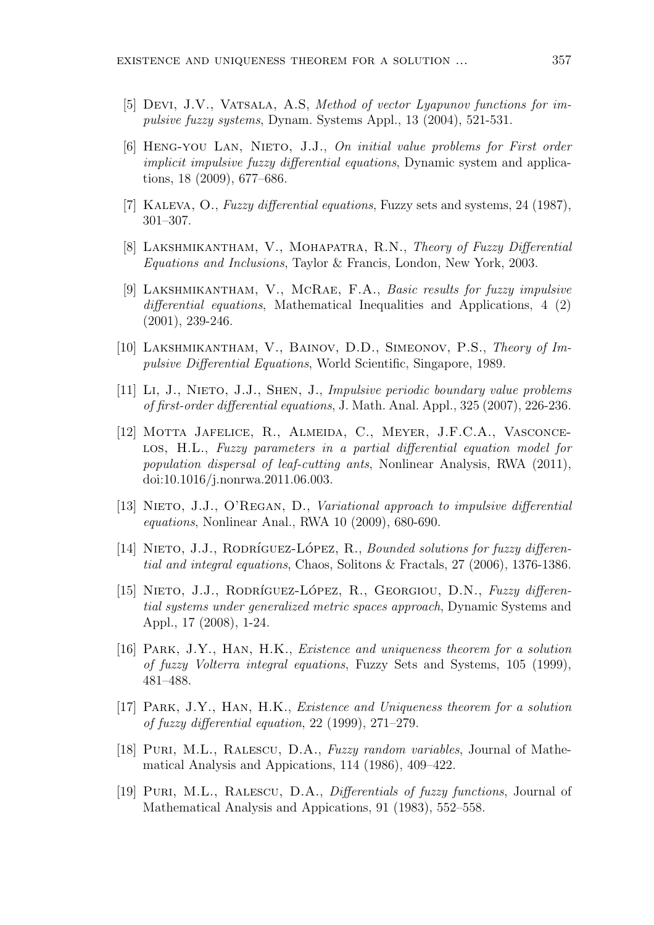- [5] Devi, J.V., Vatsala, A.S, Method of vector Lyapunov functions for impulsive fuzzy systems, Dynam. Systems Appl., 13 (2004), 521-531.
- [6] Heng-you Lan, Nieto, J.J., On initial value problems for First order implicit impulsive fuzzy differential equations, Dynamic system and applications, 18 (2009), 677–686.
- [7] Kaleva, O., Fuzzy differential equations, Fuzzy sets and systems, 24 (1987), 301–307.
- [8] LAKSHMIKANTHAM, V., MOHAPATRA, R.N., Theory of Fuzzy Differential Equations and Inclusions, Taylor & Francis, London, New York, 2003.
- [9] Lakshmikantham, V., McRae, F.A., Basic results for fuzzy impulsive differential equations, Mathematical Inequalities and Applications, 4 (2) (2001), 239-246.
- [10] Lakshmikantham, V., Bainov, D.D., Simeonov, P.S., Theory of Impulsive Differential Equations, World Scientific, Singapore, 1989.
- [11] Li, J., Nieto, J.J., Shen, J., Impulsive periodic boundary value problems of first-order differential equations, J. Math. Anal. Appl., 325 (2007), 226-236.
- [12] Motta Jafelice, R., Almeida, C., Meyer, J.F.C.A., Vasconcelos, H.L., Fuzzy parameters in a partial differential equation model for population dispersal of leaf-cutting ants, Nonlinear Analysis, RWA (2011), doi:10.1016/j.nonrwa.2011.06.003.
- [13] NIETO, J.J., O'REGAN, D., Variational approach to impulsive differential equations, Nonlinear Anal., RWA 10 (2009), 680-690.
- [14] NIETO, J.J., RODRÍGUEZ-LÓPEZ, R., Bounded solutions for fuzzy differential and integral equations, Chaos, Solitons & Fractals, 27 (2006), 1376-1386.
- [15] NIETO, J.J., RODRÍGUEZ-LÓPEZ, R., GEORGIOU, D.N., Fuzzy differential systems under generalized metric spaces approach, Dynamic Systems and Appl., 17 (2008), 1-24.
- [16] Park, J.Y., Han, H.K., Existence and uniqueness theorem for a solution of fuzzy Volterra integral equations, Fuzzy Sets and Systems, 105 (1999), 481–488.
- [17] Park, J.Y., Han, H.K., Existence and Uniqueness theorem for a solution of fuzzy differential equation, 22 (1999), 271–279.
- [18] PURI, M.L., RALESCU, D.A., Fuzzy random variables, Journal of Mathematical Analysis and Appications, 114 (1986), 409–422.
- [19] Puri, M.L., Ralescu, D.A., Differentials of fuzzy functions, Journal of Mathematical Analysis and Appications, 91 (1983), 552–558.